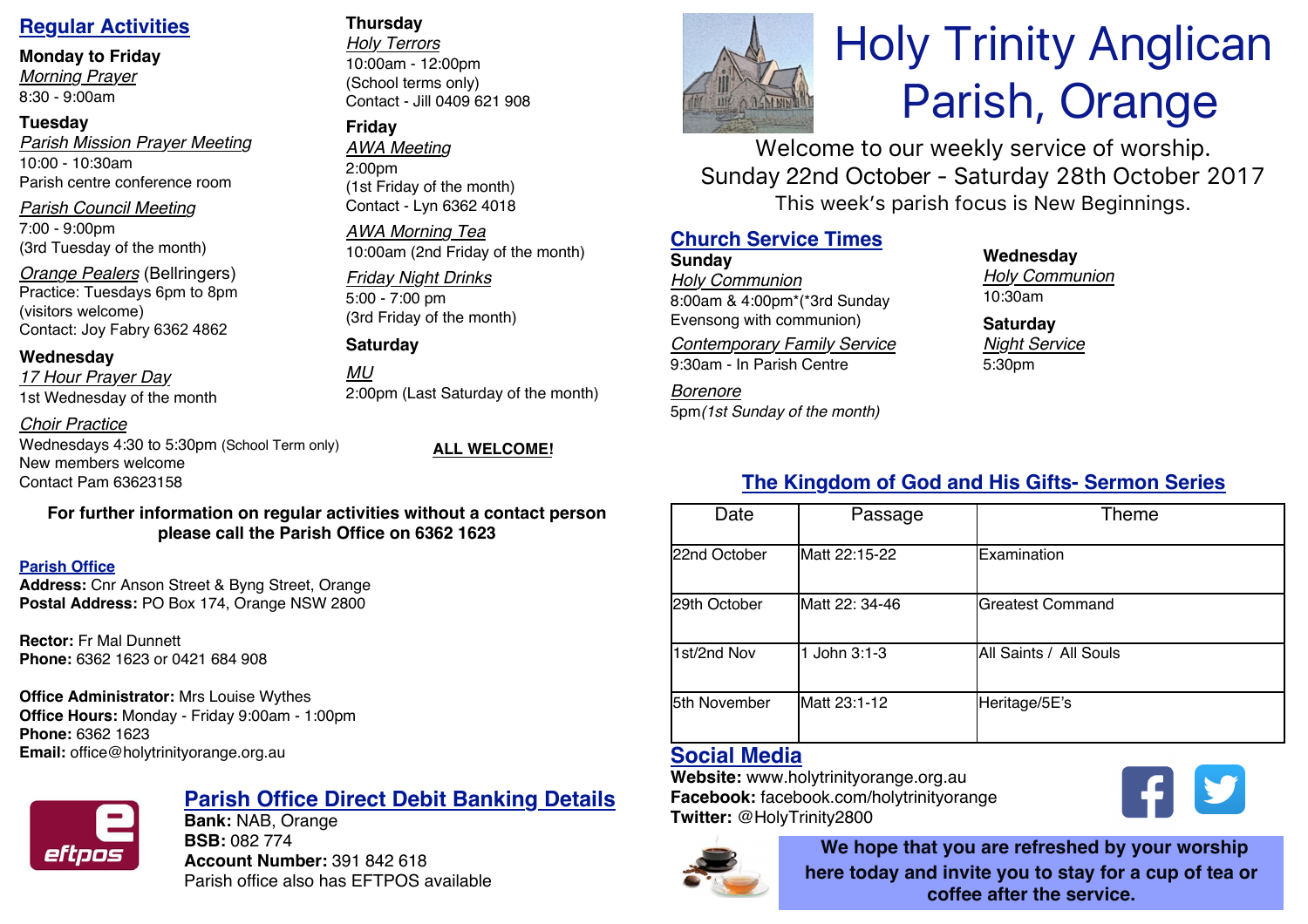### **Regular Activities**

**Monday to Friday**

*Morning Prayer* 8:30 - 9:00am

### **Tuesday**

*Parish Mission Prayer Meeting* 10:00 - 10:30am Parish centre conference room

*Parish Council Meeting* 7:00 - 9:00pm

(3rd Tuesday of the month)

*Orange Pealers* (Bellringers) Practice: Tuesdays 6pm to 8pm (visitors welcome) Contact: Joy Fabry 6362 4862

### **Wednesday**

*17 Hour Prayer Day* 1st Wednesday of the month

*Choir Practice*

Wednesdays 4:30 to 5:30pm (School Term only) New members welcome Contact Pam 63623158

### **For further information on regular activities without a contact person please call the Parish Office on 6362 1623**

### **Parish Office**

**Address:** Cnr Anson Street & Byng Street, Orange **Postal Address:** PO Box 174, Orange NSW 2800

**Rector:** Fr Mal Dunnett **Phone:** 6362 1623 or 0421 684 908

### **Office Administrator:** Mrs Louise Wythes

**Office Hours:** Monday - Friday 9:00am - 1:00pm **Phone:** 6362 1623 **Email:** office@holytrinityorange.org.au



# **Parish Office Direct Debit Banking Details**

**Bank:** NAB, Orange **BSB:** 082 774 **Account Number:** 391 842 618 Parish office also has EFTPOS available

### **Thursday**

*Holy Terrors* 10:00am - 12:00pm (School terms only) Contact - Jill 0409 621 908

### **Friday**

*AWA Meeting* 2:00pm (1st Friday of the month) Contact - Lyn 6362 4018

*AWA Morning Tea* 10:00am (2nd Friday of the month)

### *Friday Night Drinks* 5:00 - 7:00 pm (3rd Friday of the month)

**Saturday**

*MU* 2:00pm (Last Saturday of the month)

### **ALL WELCOME!**

# Holy Trinity Anglican Parish, Orange

Welcome to our weekly service of worship. Sunday 22nd October - Saturday 28th October 2017 This week's parish focus is New Beginnings.

## **Church Service Times**

**Sunday** *Holy Communion* 8:00am & 4:00pm\*(\*3rd Sunday Evensong with communion)

*Contemporary Family Service* 9:30am - In Parish Centre

*Borenore*  5pm*(1st Sunday of the month)*

### **Wednesday**

*Holy Communion* 10:30am

**Saturday** *Night Service* 5:30pm

# **The Kingdom of God and His Gifts- Sermon Series**

| Date         | Passage        | Theme                   |  |
|--------------|----------------|-------------------------|--|
| 22nd October | Matt 22:15-22  | Examination             |  |
| 29th October | Matt 22: 34-46 | <b>Greatest Command</b> |  |
| 1st/2nd Nov  | John $3:1-3$   | All Saints / All Souls  |  |
| 5th November | Matt 23:1-12   | Heritage/5E's           |  |

# **Social Media**

**Website:** www.holytrinityorange.org.au **Facebook:** facebook.com/holytrinityorange **Twitter:** @HolyTrinity2800



**We hope that you are refreshed by your worship here today and invite you to stay for a cup of tea or coffee after the service.**